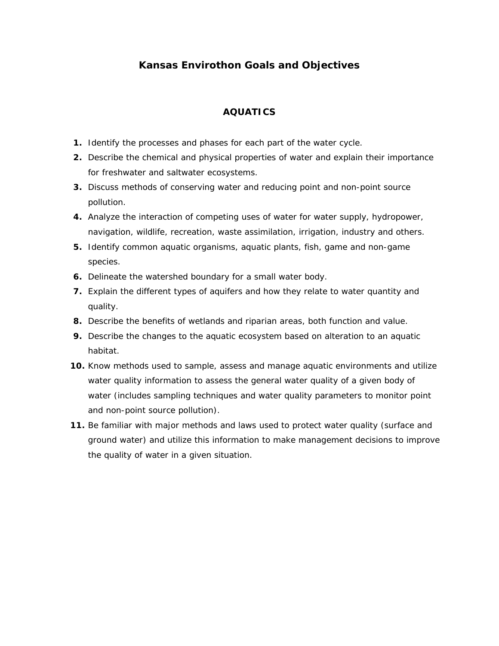# **Kansas Envirothon Goals and Objectives**

## **AQUATICS**

- **1.** Identify the processes and phases for each part of the water cycle.
- **2.** Describe the chemical and physical properties of water and explain their importance for freshwater and saltwater ecosystems.
- **3.** Discuss methods of conserving water and reducing point and non-point source pollution.
- **4.** Analyze the interaction of competing uses of water for water supply, hydropower, navigation, wildlife, recreation, waste assimilation, irrigation, industry and others.
- **5.** Identify common aquatic organisms, aquatic plants, fish, game and non-game species.
- **6.** Delineate the watershed boundary for a small water body.
- **7.** Explain the different types of aquifers and how they relate to water quantity and quality.
- **8.** Describe the benefits of wetlands and riparian areas, both function and value.
- **9.** Describe the changes to the aquatic ecosystem based on alteration to an aquatic habitat.
- **10.** Know methods used to sample, assess and manage aquatic environments and utilize water quality information to assess the general water quality of a given body of water (includes sampling techniques and water quality parameters to monitor point and non-point source pollution).
- **11.** Be familiar with major methods and laws used to protect water quality (surface and ground water) and utilize this information to make management decisions to improve the quality of water in a given situation.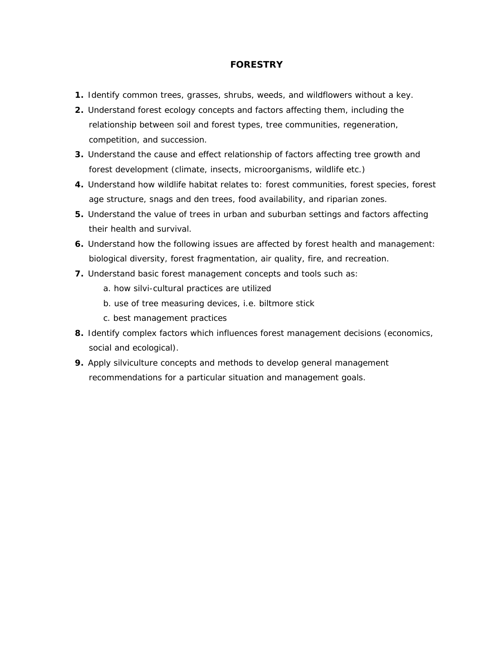### **FORESTRY**

- **1.** Identify common trees, grasses, shrubs, weeds, and wildflowers without a key.
- **2.** Understand forest ecology concepts and factors affecting them, including the relationship between soil and forest types, tree communities, regeneration, competition, and succession.
- **3.** Understand the cause and effect relationship of factors affecting tree growth and forest development (climate, insects, microorganisms, wildlife etc.)
- **4.** Understand how wildlife habitat relates to: forest communities, forest species, forest age structure, snags and den trees, food availability, and riparian zones.
- **5.** Understand the value of trees in urban and suburban settings and factors affecting their health and survival.
- **6.** Understand how the following issues are affected by forest health and management: biological diversity, forest fragmentation, air quality, fire, and recreation.
- **7.** Understand basic forest management concepts and tools such as:
	- a. how silvi-cultural practices are utilized
	- b. use of tree measuring devices, i.e. biltmore stick
	- c. best management practices
- **8.** Identify complex factors which influences forest management decisions (economics, social and ecological).
- **9.** Apply silviculture concepts and methods to develop general management recommendations for a particular situation and management goals.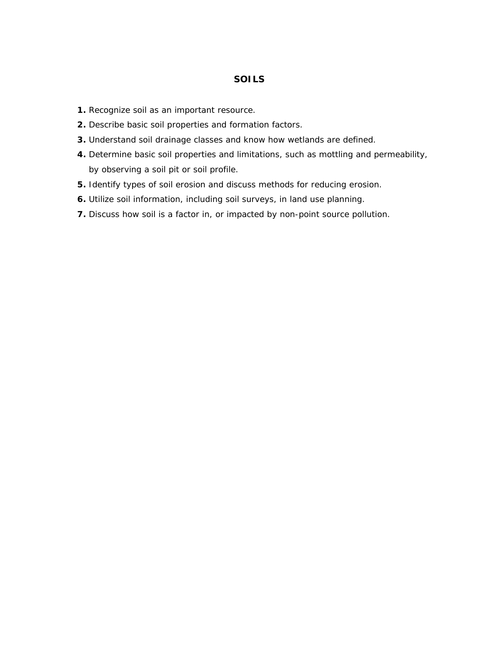#### **SOILS**

- **1.** Recognize soil as an important resource.
- **2.** Describe basic soil properties and formation factors.
- **3.** Understand soil drainage classes and know how wetlands are defined.
- **4.** Determine basic soil properties and limitations, such as mottling and permeability, by observing a soil pit or soil profile.
- **5.** Identify types of soil erosion and discuss methods for reducing erosion.
- **6.** Utilize soil information, including soil surveys, in land use planning.
- **7.** Discuss how soil is a factor in, or impacted by non-point source pollution.